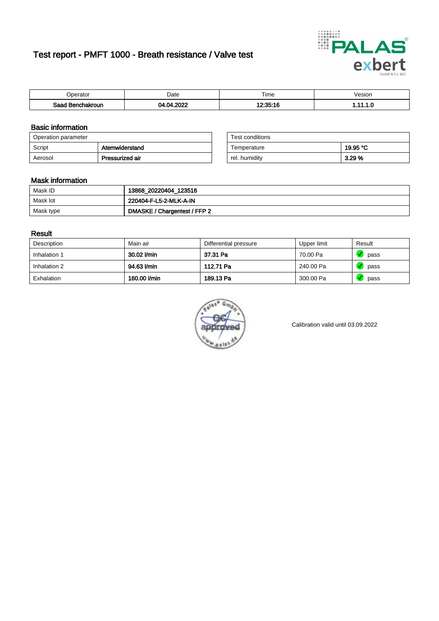# Test report - PMFT 1000 - Breath resistance / Valve test



| 'oerator                      | Date | $- \cdot$<br>Time | /esion |
|-------------------------------|------|-------------------|--------|
| Saad<br><b>nchakroun</b><br>. | onos | 10.05.40          | .      |

### Basic information

| Operation parameter |                 | Test conditions |          |
|---------------------|-----------------|-----------------|----------|
| Script              | Atemwiderstand  | Temperature     | 19.95 °C |
| Aerosol             | Pressurized air | rel. humidity   | 3.29%    |

| Test conditions |          |
|-----------------|----------|
| Temperature     | 19.95 °C |
| rel. humidity   | 3.29%    |

#### Mask information

| Mask ID   | 13868_20220404_123516        |
|-----------|------------------------------|
| Mask lot  | 220404-F-L5-2-MLK-A-IN       |
| Mask type | DMASKE / Chargentest / FFP 2 |

### Result

| Description  | Main air     | Differential pressure | Upper limit | Result |
|--------------|--------------|-----------------------|-------------|--------|
| Inhalation 1 | 30.02 l/min  | 37.31 Pa              | 70.00 Pa    | pass   |
| Inhalation 2 | 94.63 l/min  | 112.71 Pa             | 240.00 Pa   | pass   |
| Exhalation   | 160.00 l/min | 189.13 Pa             | 300.00 Pa   | pass   |



Calibration valid until 03.09.2022